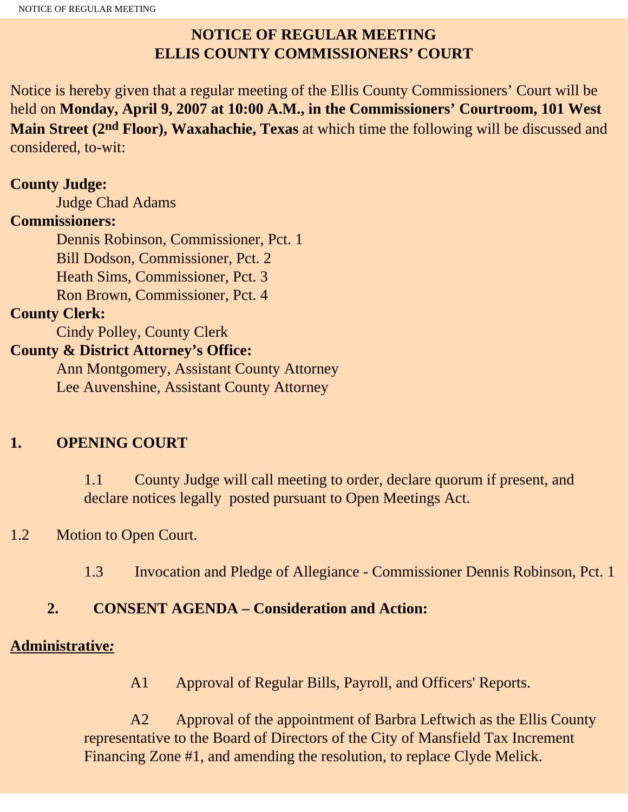# **NOTICE OF REGULAR MEETING ELLIS COUNTY COMMISSIONERS' COURT**

Notice is hereby given that a regular meeting of the Ellis County Commissioners' Court will be held on **Monday, April 9, 2007 at 10:00 A.M., in the Commissioners' Courtroom, 101 West Main Street (2nd Floor), Waxahachie, Texas** at which time the following will be discussed and considered, to-wit:

#### **County Judge:**

Judge Chad Adams

#### **Commissioners:**

 Dennis Robinson, Commissioner, Pct. 1 Bill Dodson, Commissioner, Pct. 2 Heath Sims, Commissioner, Pct. 3 Ron Brown, Commissioner, Pct. 4

## **County Clerk:**

Cindy Polley, County Clerk

## **County & District Attorney's Office:**

 Ann Montgomery, Assistant County Attorney Lee Auvenshine, Assistant County Attorney

# **1. OPENING COURT**

1.1 County Judge will call meeting to order, declare quorum if present, and declare notices legally posted pursuant to Open Meetings Act.

# 1.2 Motion to Open Court.

1.3 Invocation and Pledge of Allegiance - Commissioner Dennis Robinson, Pct. 1

# **2. CONSENT AGENDA – Consideration and Action:**

## **Administrative***:*

A1 Approval of Regular Bills, Payroll, and Officers' Reports.

 A2 Approval of the appointment of Barbra Leftwich as the Ellis County representative to the Board of Directors of the City of Mansfield Tax Increment Financing Zone #1, and amending the resolution, to replace Clyde Melick.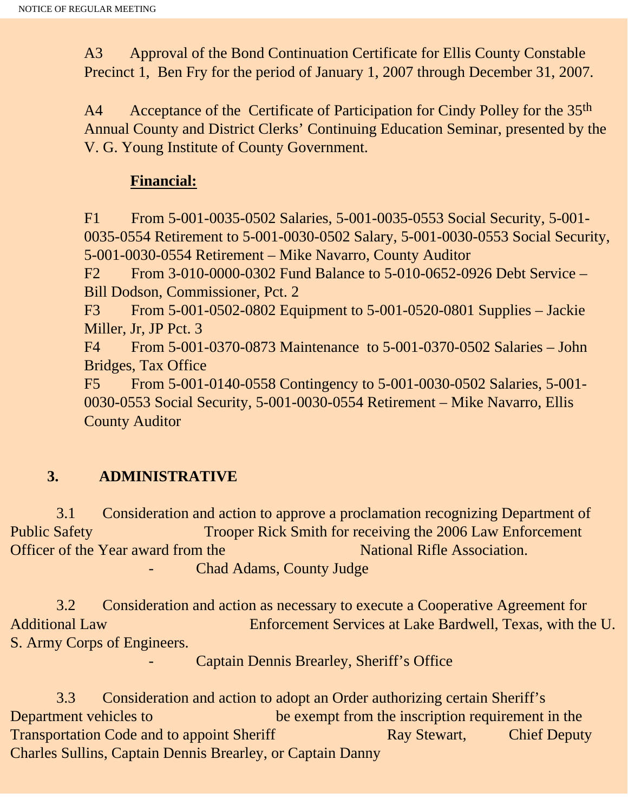A3 Approval of the Bond Continuation Certificate for Ellis County Constable Precinct 1, Ben Fry for the period of January 1, 2007 through December 31, 2007.

A4 Acceptance of the Certificate of Participation for Cindy Polley for the 35<sup>th</sup> Annual County and District Clerks' Continuing Education Seminar, presented by the V. G. Young Institute of County Government.

#### **Financial:**

F1 From 5-001-0035-0502 Salaries, 5-001-0035-0553 Social Security, 5-001- 0035-0554 Retirement to 5-001-0030-0502 Salary, 5-001-0030-0553 Social Security, 5-001-0030-0554 Retirement – Mike Navarro, County Auditor

F2 From 3-010-0000-0302 Fund Balance to 5-010-0652-0926 Debt Service – Bill Dodson, Commissioner, Pct. 2

F3 From 5-001-0502-0802 Equipment to 5-001-0520-0801 Supplies – Jackie Miller, Jr, JP Pct. 3

F4 From 5-001-0370-0873 Maintenance to 5-001-0370-0502 Salaries – John Bridges, Tax Office

F5 From 5-001-0140-0558 Contingency to 5-001-0030-0502 Salaries, 5-001- 0030-0553 Social Security, 5-001-0030-0554 Retirement – Mike Navarro, Ellis County Auditor

# **3. ADMINISTRATIVE**

 3.1 Consideration and action to approve a proclamation recognizing Department of Public Safety Trooper Rick Smith for receiving the 2006 Law Enforcement Officer of the Year award from the National Rifle Association. Chad Adams, County Judge

 3.2 Consideration and action as necessary to execute a Cooperative Agreement for Additional Law Enforcement Services at Lake Bardwell, Texas, with the U. S. Army Corps of Engineers.

Captain Dennis Brearley, Sheriff's Office

 3.3 Consideration and action to adopt an Order authorizing certain Sheriff's Department vehicles to be exempt from the inscription requirement in the Transportation Code and to appoint Sheriff Ray Stewart, Chief Deputy Charles Sullins, Captain Dennis Brearley, or Captain Danny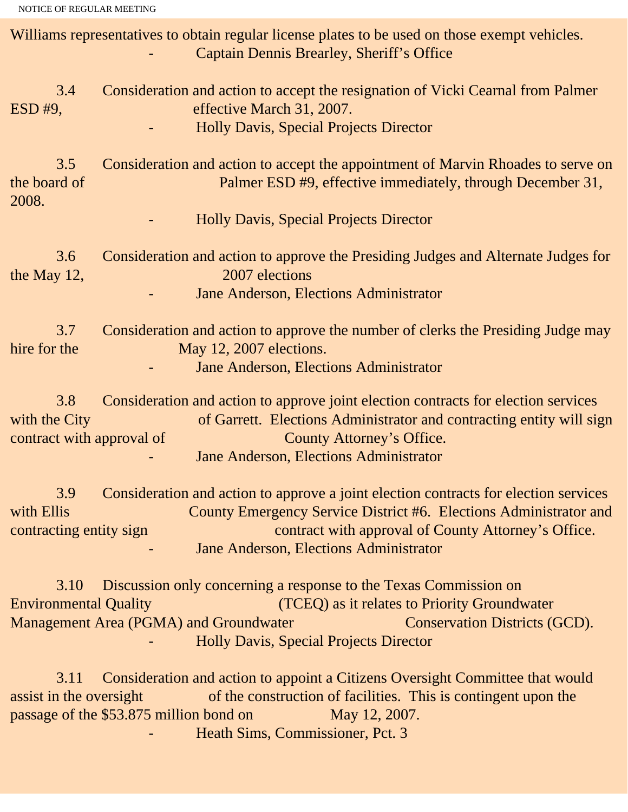NOTICE OF REGULAR MEETING

Williams representatives to obtain regular license plates to be used on those exempt vehicles. Captain Dennis Brearley, Sheriff's Office 3.4 Consideration and action to accept the resignation of Vicki Cearnal from Palmer ESD #9, effective March 31, 2007. - Holly Davis, Special Projects Director 3.5 Consideration and action to accept the appointment of Marvin Rhoades to serve on the board of Palmer ESD #9, effective immediately, through December 31, 2008. - Holly Davis, Special Projects Director 3.6 Consideration and action to approve the Presiding Judges and Alternate Judges for the May 12, 2007 elections Jane Anderson, Elections Administrator 3.7 Consideration and action to approve the number of clerks the Presiding Judge may hire for the May 12, 2007 elections. Jane Anderson, Elections Administrator 3.8 Consideration and action to approve joint election contracts for election services with the City of Garrett. Elections Administrator and contracting entity will sign contract with approval of County Attorney's Office. Jane Anderson, Elections Administrator 3.9 Consideration and action to approve a joint election contracts for election services with Ellis County Emergency Service District #6. Elections Administrator and contracting entity sign contract with approval of County Attorney's Office. Jane Anderson, Elections Administrator 3.10 Discussion only concerning a response to the Texas Commission on Environmental Quality (TCEQ) as it relates to Priority Groundwater Management Area (PGMA) and Groundwater Conservation Districts (GCD). - Holly Davis, Special Projects Director

 3.11 Consideration and action to appoint a Citizens Oversight Committee that would assist in the oversight of the construction of facilities. This is contingent upon the passage of the \$53.875 million bond on May 12, 2007. Heath Sims, Commissioner, Pct. 3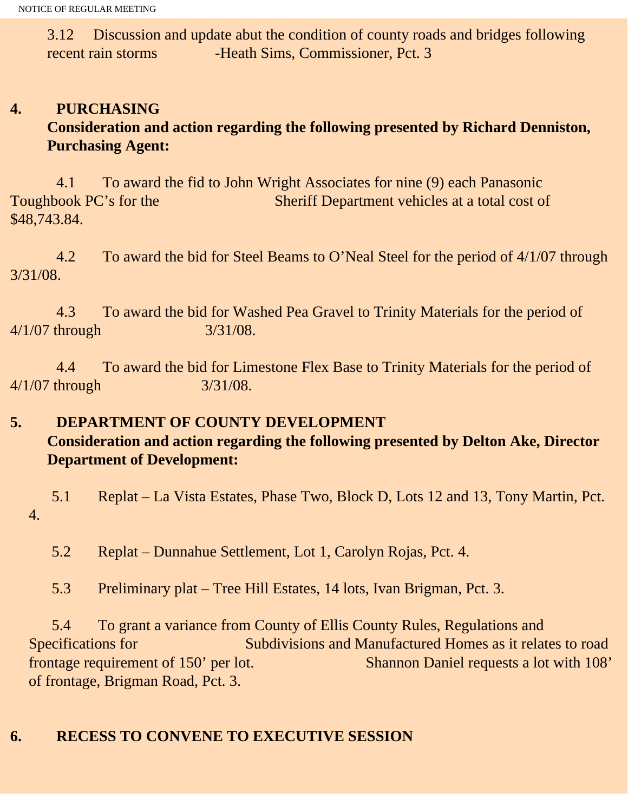3.12 Discussion and update abut the condition of county roads and bridges following recent rain storms -Heath Sims, Commissioner, Pct. 3

# **4. PURCHASING Consideration and action regarding the following presented by Richard Denniston, Purchasing Agent:**

4.1 To award the fid to John Wright Associates for nine (9) each Panasonic Toughbook PC's for the Sheriff Department vehicles at a total cost of \$48,743.84.

 4.2 To award the bid for Steel Beams to O'Neal Steel for the period of 4/1/07 through 3/31/08.

 4.3 To award the bid for Washed Pea Gravel to Trinity Materials for the period of 4/1/07 through 3/31/08.

 4.4 To award the bid for Limestone Flex Base to Trinity Materials for the period of 4/1/07 through 3/31/08.

## **5. DEPARTMENT OF COUNTY DEVELOPMENT Consideration and action regarding the following presented by Delton Ake, Director Department of Development:**

 5.1 Replat – La Vista Estates, Phase Two, Block D, Lots 12 and 13, Tony Martin, Pct. 4.

5.2 Replat – Dunnahue Settlement, Lot 1, Carolyn Rojas, Pct. 4.

5.3 Preliminary plat – Tree Hill Estates, 14 lots, Ivan Brigman, Pct. 3.

 5.4 To grant a variance from County of Ellis County Rules, Regulations and Specifications for Subdivisions and Manufactured Homes as it relates to road frontage requirement of 150' per lot. Shannon Daniel requests a lot with 108' of frontage, Brigman Road, Pct. 3.

# **6. RECESS TO CONVENE TO EXECUTIVE SESSION**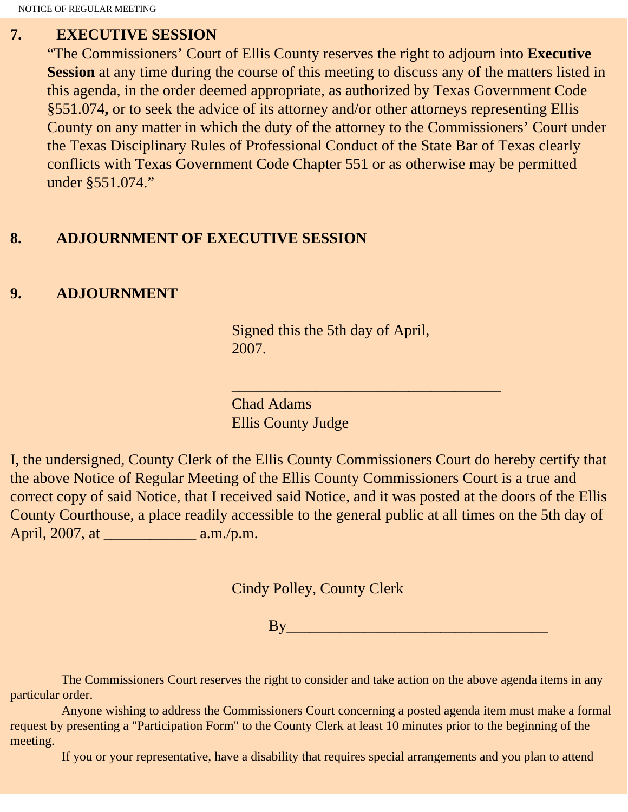NOTICE OF REGULAR MEETING

#### **7. EXECUTIVE SESSION**

"The Commissioners' Court of Ellis County reserves the right to adjourn into **Executive Session** at any time during the course of this meeting to discuss any of the matters listed in this agenda, in the order deemed appropriate, as authorized by Texas Government Code §551.074**,** or to seek the advice of its attorney and/or other attorneys representing Ellis County on any matter in which the duty of the attorney to the Commissioners' Court under the Texas Disciplinary Rules of Professional Conduct of the State Bar of Texas clearly conflicts with Texas Government Code Chapter 551 or as otherwise may be permitted under §551.074."

## **8. ADJOURNMENT OF EXECUTIVE SESSION**

## **9. ADJOURNMENT**

Signed this the 5th day of April, 2007.

 $\overline{\phantom{a}}$  , and the set of the set of the set of the set of the set of the set of the set of the set of the set of the set of the set of the set of the set of the set of the set of the set of the set of the set of the s

Chad Adams Ellis County Judge

I, the undersigned, County Clerk of the Ellis County Commissioners Court do hereby certify that the above Notice of Regular Meeting of the Ellis County Commissioners Court is a true and correct copy of said Notice, that I received said Notice, and it was posted at the doors of the Ellis County Courthouse, a place readily accessible to the general public at all times on the 5th day of April, 2007, at \_\_\_\_\_\_\_\_\_\_\_\_ a.m./p.m.

Cindy Polley, County Clerk

 $\mathbf{B} \mathbf{y}$ 

 The Commissioners Court reserves the right to consider and take action on the above agenda items in any particular order.

 Anyone wishing to address the Commissioners Court concerning a posted agenda item must make a formal request by presenting a "Participation Form" to the County Clerk at least 10 minutes prior to the beginning of the meeting.

If you or your representative, have a disability that requires special arrangements and you plan to attend